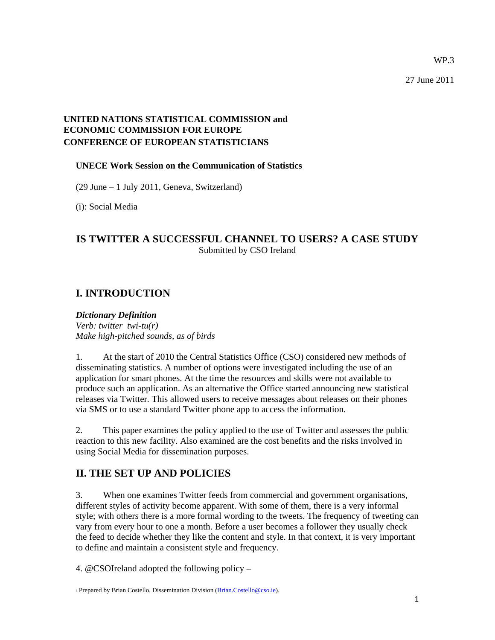WP.3

27 June 2011

#### **UNITED NATIONS STATISTICAL COMMISSION and ECONOMIC COMMISSION FOR EUROPE CONFERENCE OF EUROPEAN STATISTICIANS**

#### **UNECE Work Session on the Communication of Statistics**

(29 June – 1 July 2011, Geneva, Switzerland)

(i): Social Media

#### **IS TWITTER A SUCCESSFUL CHANNEL TO USERS? A CASE STUDY**  Submitted by CSO Ireland

### **I. INTRODUCTION**

#### *Dictionary Definition*

*Verb: twitter twi-tu(r) Make high-pitched sounds, as of birds* 

1. At the start of 2010 the Central Statistics Office (CSO) considered new methods of disseminating statistics. A number of options were investigated including the use of an application for smart phones. At the time the resources and skills were not available to produce such an application. As an alternative the Office started announcing new statistical releases via Twitter. This allowed users to receive messages about releases on their phones via SMS or to use a standard Twitter phone app to access the information.

2. This paper examines the policy applied to the use of Twitter and assesses the public reaction to this new facility. Also examined are the cost benefits and the risks involved in using Social Media for dissemination purposes.

# **II. THE SET UP AND POLICIES**

3. When one examines Twitter feeds from commercial and government organisations, different styles of activity become apparent. With some of them, there is a very informal style; with others there is a more formal wording to the tweets. The frequency of tweeting can vary from every hour to one a month. Before a user becomes a follower they usually check the feed to decide whether they like the content and style. In that context, it is very important to define and maintain a consistent style and frequency.

4. @CSOIreland adopted the following policy –

1 Prepared by Brian Costello, Dissemination Division (Brian.Costello@cso.ie).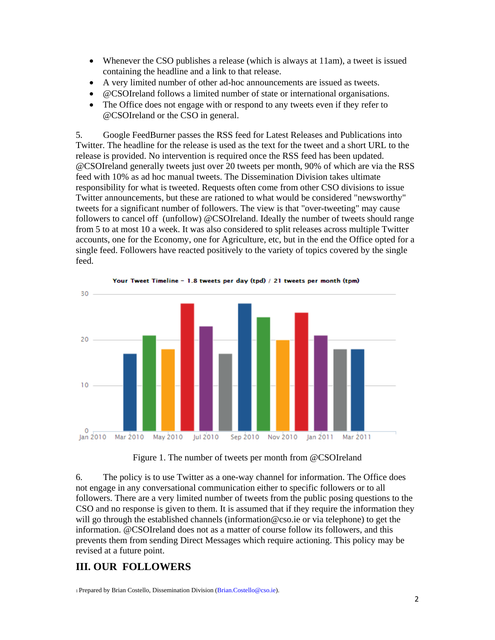- Whenever the CSO publishes a release (which is always at 11am), a tweet is issued containing the headline and a link to that release.
- A very limited number of other ad-hoc announcements are issued as tweets.
- @CSOIreland follows a limited number of state or international organisations.
- The Office does not engage with or respond to any tweets even if they refer to @CSOIreland or the CSO in general.

5. Google FeedBurner passes the RSS feed for Latest Releases and Publications into Twitter. The headline for the release is used as the text for the tweet and a short URL to the release is provided. No intervention is required once the RSS feed has been updated. @CSOIreland generally tweets just over 20 tweets per month, 90% of which are via the RSS feed with 10% as ad hoc manual tweets. The Dissemination Division takes ultimate responsibility for what is tweeted. Requests often come from other CSO divisions to issue Twitter announcements, but these are rationed to what would be considered "newsworthy" tweets for a significant number of followers. The view is that "over-tweeting" may cause followers to cancel off (unfollow) @CSOIreland. Ideally the number of tweets should range from 5 to at most 10 a week. It was also considered to split releases across multiple Twitter accounts, one for the Economy, one for Agriculture, etc, but in the end the Office opted for a single feed. Followers have reacted positively to the variety of topics covered by the single feed.



Figure 1. The number of tweets per month from @CSOIreland

6. The policy is to use Twitter as a one-way channel for information. The Office does not engage in any conversational communication either to specific followers or to all followers. There are a very limited number of tweets from the public posing questions to the CSO and no response is given to them. It is assumed that if they require the information they will go through the established channels (information@cso.ie or via telephone) to get the information. @CSOIreland does not as a matter of course follow its followers, and this prevents them from sending Direct Messages which require actioning. This policy may be revised at a future point.

# **III. OUR FOLLOWERS**

1 Prepared by Brian Costello, Dissemination Division (Brian.Costello@cso.ie).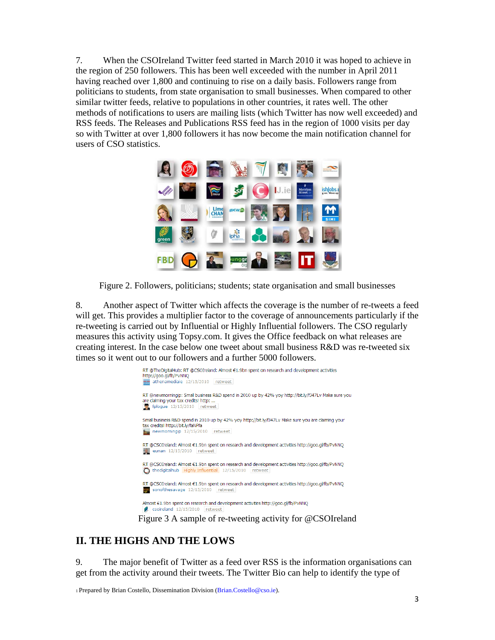7. When the CSOIreland Twitter feed started in March 2010 it was hoped to achieve in the region of 250 followers. This has been well exceeded with the number in April 2011 having reached over 1,800 and continuing to rise on a daily basis. Followers range from politicians to students, from state organisation to small businesses. When compared to other similar twitter feeds, relative to populations in other countries, it rates well. The other methods of notifications to users are mailing lists (which Twitter has now well exceeded) and RSS feeds. The Releases and Publications RSS feed has in the region of 1000 visits per day so with Twitter at over 1,800 followers it has now become the main notification channel for users of CSO statistics.



Figure 2. Followers, politicians; students; state organisation and small businesses

8. Another aspect of Twitter which affects the coverage is the number of re-tweets a feed will get. This provides a multiplier factor to the coverage of announcements particularly if the re-tweeting is carried out by Influential or Highly Influential followers. The CSO regularly measures this activity using Topsy.com. It gives the Office feedback on what releases are creating interest. In the case below one tweet about small business R&D was re-tweeted six times so it went out to our followers and a further 5000 followers.



# **II. THE HIGHS AND THE LOWS**

9. The major benefit of Twitter as a feed over RSS is the information organisations can get from the activity around their tweets. The Twitter Bio can help to identify the type of

1 Prepared by Brian Costello, Dissemination Division (Brian.Costello@cso.ie).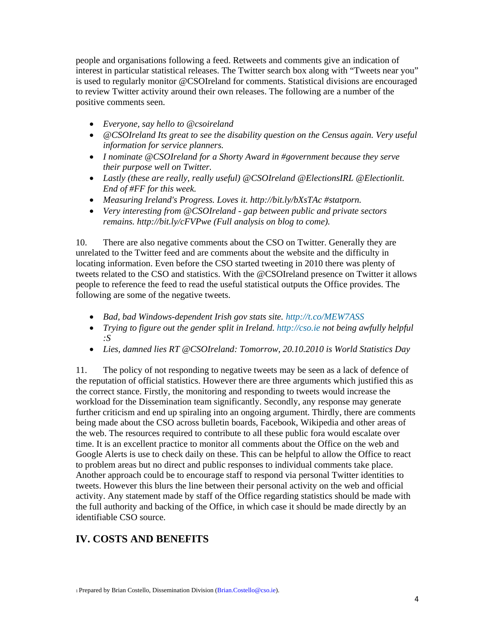people and organisations following a feed. Retweets and comments give an indication of interest in particular statistical releases. The Twitter search box along with "Tweets near you" is used to regularly monitor @CSOIreland for comments. Statistical divisions are encouraged to review Twitter activity around their own releases. The following are a number of the positive comments seen.

- *Everyone, say hello to @csoireland*
- *@CSOIreland Its great to see the disability question on the Census again. Very useful information for service planners.*
- *I nominate @CSOIreland for a Shorty Award in #government because they serve their purpose well on Twitter.*
- *Lastly (these are really, really useful) @CSOIreland @ElectionsIRL @Electionlit. End of #FF for this week.*
- *Measuring Ireland's Progress. Loves it. http://bit.ly/bXsTAc #statporn.*
- *Very interesting from @CSOIreland gap between public and private sectors remains. http://bit.ly/cFVPwe (Full analysis on blog to come).*

10. There are also negative comments about the CSO on Twitter. Generally they are unrelated to the Twitter feed and are comments about the website and the difficulty in locating information. Even before the CSO started tweeting in 2010 there was plenty of tweets related to the CSO and statistics. With the @CSOIreland presence on Twitter it allows people to reference the feed to read the useful statistical outputs the Office provides. The following are some of the negative tweets.

- *Bad, bad Windows-dependent Irish gov stats site. http://t.co/MEW7ASS*
- *Trying to figure out the gender split in Ireland. http://cso.ie not being awfully helpful :S*
- *Lies, damned lies RT @CSOIreland: Tomorrow, 20.10.2010 is World Statistics Day*

11. The policy of not responding to negative tweets may be seen as a lack of defence of the reputation of official statistics. However there are three arguments which justified this as the correct stance. Firstly, the monitoring and responding to tweets would increase the workload for the Dissemination team significantly. Secondly, any response may generate further criticism and end up spiraling into an ongoing argument. Thirdly, there are comments being made about the CSO across bulletin boards, Facebook, Wikipedia and other areas of the web. The resources required to contribute to all these public fora would escalate over time. It is an excellent practice to monitor all comments about the Office on the web and Google Alerts is use to check daily on these. This can be helpful to allow the Office to react to problem areas but no direct and public responses to individual comments take place. Another approach could be to encourage staff to respond via personal Twitter identities to tweets. However this blurs the line between their personal activity on the web and official activity. Any statement made by staff of the Office regarding statistics should be made with the full authority and backing of the Office, in which case it should be made directly by an identifiable CSO source.

### **IV. COSTS AND BENEFITS**